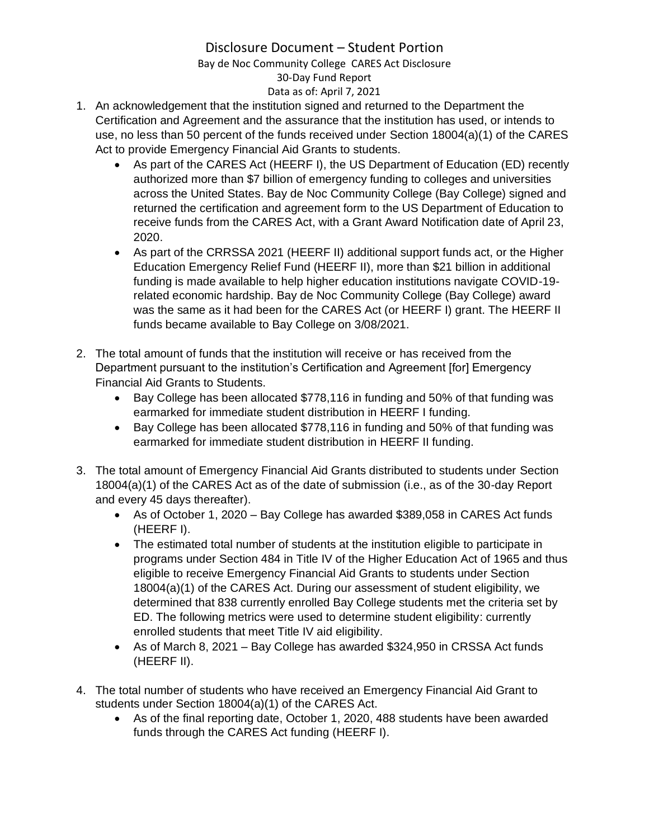# Disclosure Document – Student Portion

Bay de Noc Community College CARES Act Disclosure 30-Day Fund Report

Data as of: April 7, 2021

- 1. An acknowledgement that the institution signed and returned to the Department the Certification and Agreement and the assurance that the institution has used, or intends to use, no less than 50 percent of the funds received under Section 18004(a)(1) of the CARES Act to provide Emergency Financial Aid Grants to students.
	- As part of the CARES Act (HEERF I), the US Department of Education (ED) recently authorized more than \$7 billion of emergency funding to colleges and universities across the United States. Bay de Noc Community College (Bay College) signed and returned the certification and agreement form to the US Department of Education to receive funds from the CARES Act, with a Grant Award Notification date of April 23, 2020.
	- As part of the CRRSSA 2021 (HEERF II) additional support funds act, or the Higher Education Emergency Relief Fund (HEERF II), more than \$21 billion in additional funding is made available to help higher education institutions navigate COVID-19 related economic hardship. Bay de Noc Community College (Bay College) award was the same as it had been for the CARES Act (or HEERF I) grant. The HEERF II funds became available to Bay College on 3/08/2021.
- 2. The total amount of funds that the institution will receive or has received from the Department pursuant to the institution's Certification and Agreement [for] Emergency Financial Aid Grants to Students.
	- Bay College has been allocated \$778,116 in funding and 50% of that funding was earmarked for immediate student distribution in HEERF I funding.
	- Bay College has been allocated \$778,116 in funding and 50% of that funding was earmarked for immediate student distribution in HEERF II funding.
- 3. The total amount of Emergency Financial Aid Grants distributed to students under Section 18004(a)(1) of the CARES Act as of the date of submission (i.e., as of the 30-day Report and every 45 days thereafter).
	- As of October 1, 2020 Bay College has awarded \$389,058 in CARES Act funds (HEERF I).
	- The estimated total number of students at the institution eligible to participate in programs under Section 484 in Title IV of the Higher Education Act of 1965 and thus eligible to receive Emergency Financial Aid Grants to students under Section 18004(a)(1) of the CARES Act. During our assessment of student eligibility, we determined that 838 currently enrolled Bay College students met the criteria set by ED. The following metrics were used to determine student eligibility: currently enrolled students that meet Title IV aid eligibility.
	- As of March 8, 2021 Bay College has awarded \$324,950 in CRSSA Act funds (HEERF II).
- 4. The total number of students who have received an Emergency Financial Aid Grant to students under Section 18004(a)(1) of the CARES Act.
	- As of the final reporting date, October 1, 2020, 488 students have been awarded funds through the CARES Act funding (HEERF I).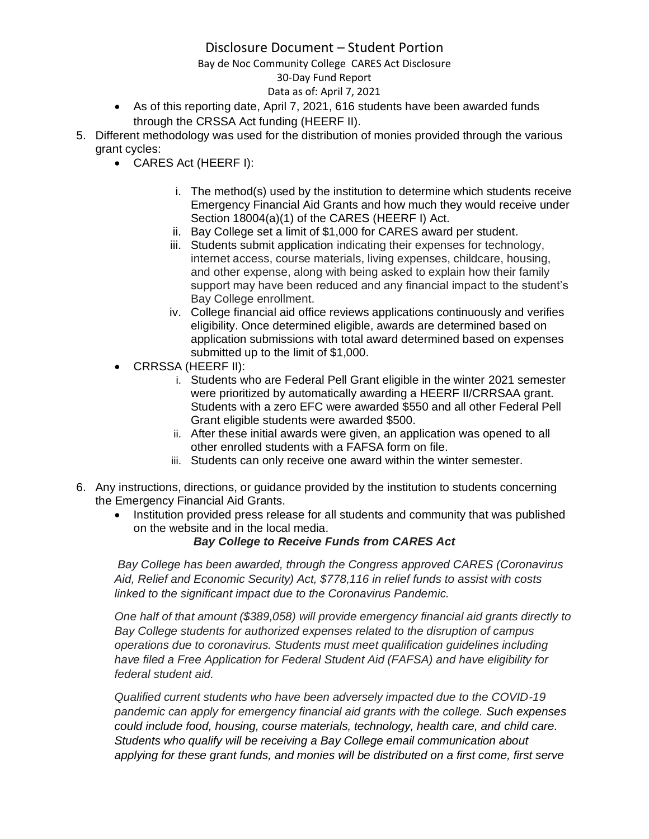# Disclosure Document – Student Portion

### Bay de Noc Community College CARES Act Disclosure

## 30-Day Fund Report

Data as of: April 7, 2021

- As of this reporting date, April 7, 2021, 616 students have been awarded funds through the CRSSA Act funding (HEERF II).
- 5. Different methodology was used for the distribution of monies provided through the various grant cycles:
	- CARES Act (HEERF I):
		- i. The method(s) used by the institution to determine which students receive Emergency Financial Aid Grants and how much they would receive under Section 18004(a)(1) of the CARES (HEERF I) Act.
		- ii. Bay College set a limit of \$1,000 for CARES award per student.
		- iii. Students submit application indicating their expenses for technology, internet access, course materials, living expenses, childcare, housing, and other expense, along with being asked to explain how their family support may have been reduced and any financial impact to the student's Bay College enrollment.
		- iv. College financial aid office reviews applications continuously and verifies eligibility. Once determined eligible, awards are determined based on application submissions with total award determined based on expenses submitted up to the limit of \$1,000.
	- CRRSSA (HEERF II):
		- i. Students who are Federal Pell Grant eligible in the winter 2021 semester were prioritized by automatically awarding a HEERF II/CRRSAA grant. Students with a zero EFC were awarded \$550 and all other Federal Pell Grant eligible students were awarded \$500.
		- ii. After these initial awards were given, an application was opened to all other enrolled students with a FAFSA form on file.
		- iii. Students can only receive one award within the winter semester.
- 6. Any instructions, directions, or guidance provided by the institution to students concerning the Emergency Financial Aid Grants.
	- Institution provided press release for all students and community that was published on the website and in the local media.

### *Bay College to Receive Funds from CARES Act*

*Bay College has been awarded, through the Congress approved CARES (Coronavirus Aid, Relief and Economic Security) Act, \$778,116 in relief funds to assist with costs linked to the significant impact due to the Coronavirus Pandemic.*

*One half of that amount (\$389,058) will provide emergency financial aid grants directly to Bay College students for authorized expenses related to the disruption of campus operations due to coronavirus. Students must meet qualification guidelines including have filed a Free Application for Federal Student Aid (FAFSA) and have eligibility for federal student aid.*

*Qualified current students who have been adversely impacted due to the COVID-19 pandemic can apply for emergency financial aid grants with the college. Such expenses could include food, housing, course materials, technology, health care, and child care. Students who qualify will be receiving a Bay College email communication about applying for these grant funds, and monies will be distributed on a first come, first serve*